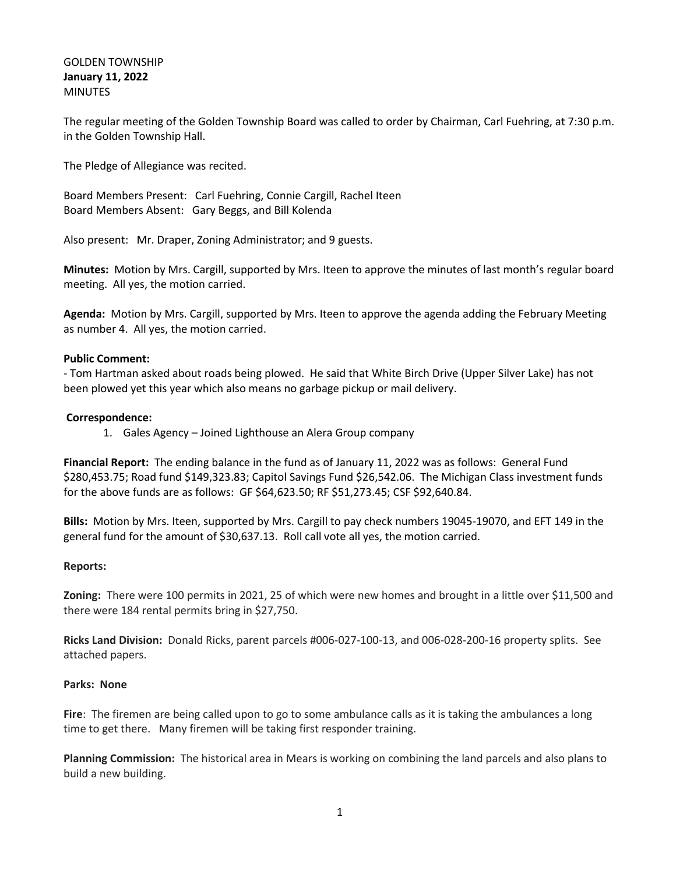# GOLDEN TOWNSHIP **January 11, 2022** MINUTES

The regular meeting of the Golden Township Board was called to order by Chairman, Carl Fuehring, at 7:30 p.m. in the Golden Township Hall.

The Pledge of Allegiance was recited.

Board Members Present: Carl Fuehring, Connie Cargill, Rachel Iteen Board Members Absent: Gary Beggs, and Bill Kolenda

Also present: Mr. Draper, Zoning Administrator; and 9 guests.

**Minutes:** Motion by Mrs. Cargill, supported by Mrs. Iteen to approve the minutes of last month's regular board meeting. All yes, the motion carried.

**Agenda:** Motion by Mrs. Cargill, supported by Mrs. Iteen to approve the agenda adding the February Meeting as number 4. All yes, the motion carried.

# **Public Comment:**

- Tom Hartman asked about roads being plowed. He said that White Birch Drive (Upper Silver Lake) has not been plowed yet this year which also means no garbage pickup or mail delivery.

## **Correspondence:**

1. Gales Agency – Joined Lighthouse an Alera Group company

**Financial Report:** The ending balance in the fund as of January 11, 2022 was as follows: General Fund \$280,453.75; Road fund \$149,323.83; Capitol Savings Fund \$26,542.06. The Michigan Class investment funds for the above funds are as follows: GF \$64,623.50; RF \$51,273.45; CSF \$92,640.84.

**Bills:** Motion by Mrs. Iteen, supported by Mrs. Cargill to pay check numbers 19045-19070, and EFT 149 in the general fund for the amount of \$30,637.13. Roll call vote all yes, the motion carried.

# **Reports:**

**Zoning:** There were 100 permits in 2021, 25 of which were new homes and brought in a little over \$11,500 and there were 184 rental permits bring in \$27,750.

**Ricks Land Division:** Donald Ricks, parent parcels #006-027-100-13, and 006-028-200-16 property splits. See attached papers.

### **Parks: None**

**Fire**: The firemen are being called upon to go to some ambulance calls as it is taking the ambulances a long time to get there. Many firemen will be taking first responder training.

**Planning Commission:** The historical area in Mears is working on combining the land parcels and also plans to build a new building.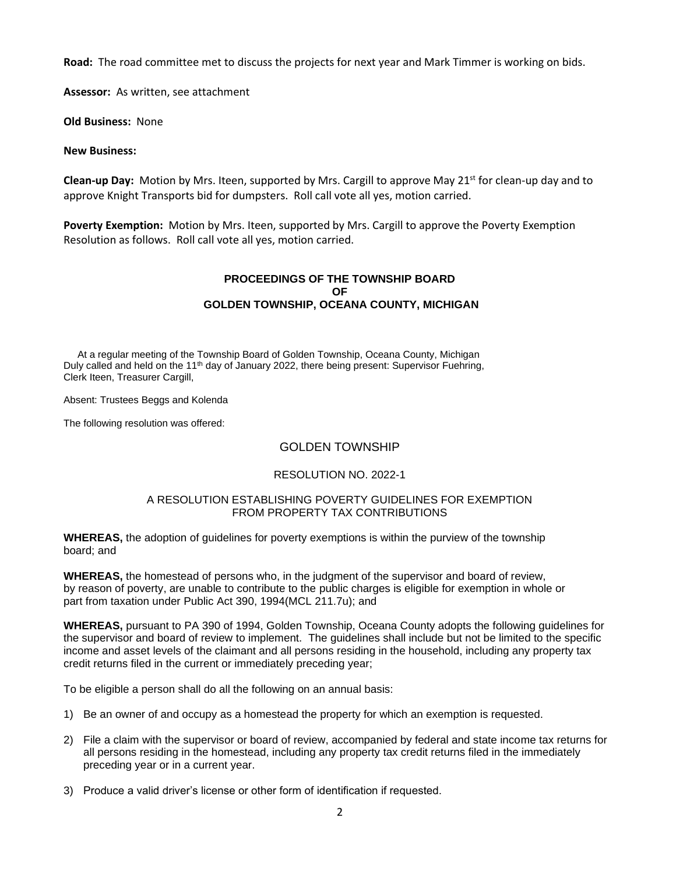**Road:** The road committee met to discuss the projects for next year and Mark Timmer is working on bids.

**Assessor:** As written, see attachment

**Old Business:** None

## **New Business:**

**Clean-up Day:** Motion by Mrs. Iteen, supported by Mrs. Cargill to approve May 21<sup>st</sup> for clean-up day and to approve Knight Transports bid for dumpsters. Roll call vote all yes, motion carried.

**Poverty Exemption:** Motion by Mrs. Iteen, supported by Mrs. Cargill to approve the Poverty Exemption Resolution as follows. Roll call vote all yes, motion carried.

## **PROCEEDINGS OF THE TOWNSHIP BOARD OF GOLDEN TOWNSHIP, OCEANA COUNTY, MICHIGAN**

At a regular meeting of the Township Board of Golden Township, Oceana County, Michigan Duly called and held on the 11<sup>th</sup> day of January 2022, there being present: Supervisor Fuehring, Clerk Iteen, Treasurer Cargill,

Absent: Trustees Beggs and Kolenda

The following resolution was offered:

# GOLDEN TOWNSHIP

# RESOLUTION NO. 2022-1

### A RESOLUTION ESTABLISHING POVERTY GUIDELINES FOR EXEMPTION FROM PROPERTY TAX CONTRIBUTIONS

**WHEREAS,** the adoption of guidelines for poverty exemptions is within the purview of the township board; and

**WHEREAS,** the homestead of persons who, in the judgment of the supervisor and board of review, by reason of poverty, are unable to contribute to the public charges is eligible for exemption in whole or part from taxation under Public Act 390, 1994(MCL 211.7u); and

**WHEREAS,** pursuant to PA 390 of 1994, Golden Township, Oceana County adopts the following guidelines for the supervisor and board of review to implement. The guidelines shall include but not be limited to the specific income and asset levels of the claimant and all persons residing in the household, including any property tax credit returns filed in the current or immediately preceding year;

To be eligible a person shall do all the following on an annual basis:

- 1) Be an owner of and occupy as a homestead the property for which an exemption is requested.
- 2) File a claim with the supervisor or board of review, accompanied by federal and state income tax returns for all persons residing in the homestead, including any property tax credit returns filed in the immediately preceding year or in a current year.
- 3) Produce a valid driver's license or other form of identification if requested.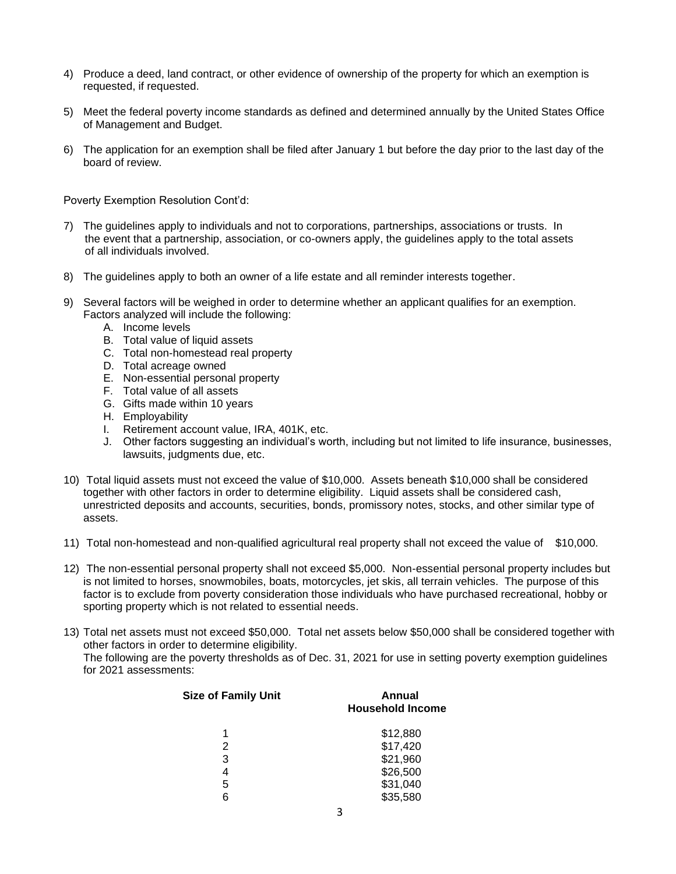- 4) Produce a deed, land contract, or other evidence of ownership of the property for which an exemption is requested, if requested.
- 5) Meet the federal poverty income standards as defined and determined annually by the United States Office of Management and Budget.
- 6) The application for an exemption shall be filed after January 1 but before the day prior to the last day of the board of review.

Poverty Exemption Resolution Cont'd:

- 7) The guidelines apply to individuals and not to corporations, partnerships, associations or trusts. In the event that a partnership, association, or co-owners apply, the guidelines apply to the total assets of all individuals involved.
- 8) The guidelines apply to both an owner of a life estate and all reminder interests together.
- 9) Several factors will be weighed in order to determine whether an applicant qualifies for an exemption. Factors analyzed will include the following:
	- A. Income levels
	- B. Total value of liquid assets
	- C. Total non-homestead real property
	- D. Total acreage owned
	- E. Non-essential personal property
	- F. Total value of all assets
	- G. Gifts made within 10 years
	- H. Employability
	- I. Retirement account value, IRA, 401K, etc.
	- J. Other factors suggesting an individual's worth, including but not limited to life insurance, businesses, lawsuits, judgments due, etc.
- 10) Total liquid assets must not exceed the value of \$10,000. Assets beneath \$10,000 shall be considered together with other factors in order to determine eligibility. Liquid assets shall be considered cash, unrestricted deposits and accounts, securities, bonds, promissory notes, stocks, and other similar type of assets.
- 11) Total non-homestead and non-qualified agricultural real property shall not exceed the value of \$10,000.
- 12) The non-essential personal property shall not exceed \$5,000. Non-essential personal property includes but is not limited to horses, snowmobiles, boats, motorcycles, jet skis, all terrain vehicles. The purpose of this factor is to exclude from poverty consideration those individuals who have purchased recreational, hobby or sporting property which is not related to essential needs.
- 13) Total net assets must not exceed \$50,000. Total net assets below \$50,000 shall be considered together with other factors in order to determine eligibility. The following are the poverty thresholds as of Dec. 31, 2021 for use in setting poverty exemption guidelines for 2021 assessments:

| <b>Size of Family Unit</b> | Annual<br><b>Household Income</b> |
|----------------------------|-----------------------------------|
|                            | \$12,880                          |
| 2                          | \$17,420                          |
| 3                          | \$21,960                          |
| 4                          | \$26,500                          |
| 5                          | \$31,040                          |
|                            | \$35,580                          |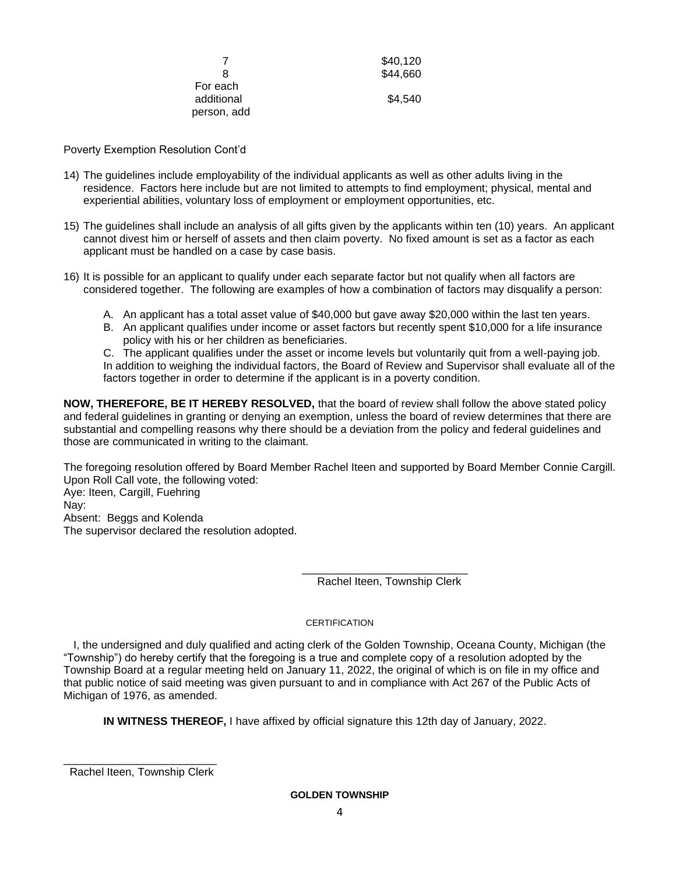|             | \$40,120 |  |
|-------------|----------|--|
| 8           | \$44,660 |  |
| For each    |          |  |
| additional  | \$4,540  |  |
| person, add |          |  |

Poverty Exemption Resolution Cont'd

- 14) The guidelines include employability of the individual applicants as well as other adults living in the residence. Factors here include but are not limited to attempts to find employment; physical, mental and experiential abilities, voluntary loss of employment or employment opportunities, etc.
- 15) The guidelines shall include an analysis of all gifts given by the applicants within ten (10) years. An applicant cannot divest him or herself of assets and then claim poverty. No fixed amount is set as a factor as each applicant must be handled on a case by case basis.
- 16) It is possible for an applicant to qualify under each separate factor but not qualify when all factors are considered together. The following are examples of how a combination of factors may disqualify a person:
	- A. An applicant has a total asset value of \$40,000 but gave away \$20,000 within the last ten years.
	- B. An applicant qualifies under income or asset factors but recently spent \$10,000 for a life insurance policy with his or her children as beneficiaries.

C. The applicant qualifies under the asset or income levels but voluntarily quit from a well-paying job. In addition to weighing the individual factors, the Board of Review and Supervisor shall evaluate all of the factors together in order to determine if the applicant is in a poverty condition.

**NOW, THEREFORE, BE IT HEREBY RESOLVED,** that the board of review shall follow the above stated policy and federal guidelines in granting or denying an exemption, unless the board of review determines that there are substantial and compelling reasons why there should be a deviation from the policy and federal guidelines and those are communicated in writing to the claimant.

The foregoing resolution offered by Board Member Rachel Iteen and supported by Board Member Connie Cargill. Upon Roll Call vote, the following voted:

Aye: Iteen, Cargill, Fuehring Nay: Absent: Beggs and Kolenda The supervisor declared the resolution adopted.

> \_\_\_\_\_\_\_\_\_\_\_\_\_\_\_\_\_\_\_\_\_\_\_\_\_\_\_ Rachel Iteen, Township Clerk

### CERTIFICATION

 I, the undersigned and duly qualified and acting clerk of the Golden Township, Oceana County, Michigan (the "Township") do hereby certify that the foregoing is a true and complete copy of a resolution adopted by the Township Board at a regular meeting held on January 11, 2022, the original of which is on file in my office and that public notice of said meeting was given pursuant to and in compliance with Act 267 of the Public Acts of Michigan of 1976, as amended.

**IN WITNESS THEREOF,** I have affixed by official signature this 12th day of January, 2022.

\_\_\_\_\_\_\_\_\_\_\_\_\_\_\_\_\_\_\_\_\_\_\_\_\_ Rachel Iteen, Township Clerk